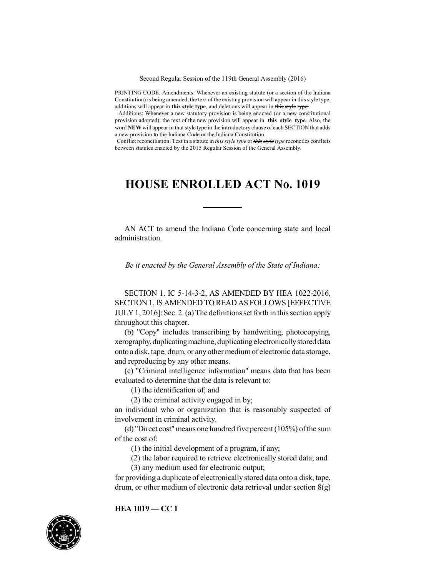Second Regular Session of the 119th General Assembly (2016)

PRINTING CODE. Amendments: Whenever an existing statute (or a section of the Indiana Constitution) is being amended, the text of the existing provision will appear in this style type, additions will appear in **this style type**, and deletions will appear in this style type.

Additions: Whenever a new statutory provision is being enacted (or a new constitutional provision adopted), the text of the new provision will appear in **this style type**. Also, the word **NEW** will appear in that style type in the introductory clause of each SECTION that adds a new provision to the Indiana Code or the Indiana Constitution.

Conflict reconciliation: Text in a statute in *this style type* or *this style type* reconciles conflicts between statutes enacted by the 2015 Regular Session of the General Assembly.

## **HOUSE ENROLLED ACT No. 1019**

AN ACT to amend the Indiana Code concerning state and local administration.

*Be it enacted by the General Assembly of the State of Indiana:*

SECTION 1. IC 5-14-3-2, AS AMENDED BY HEA 1022-2016, SECTION 1,IS AMENDED TO READ AS FOLLOWS [EFFECTIVE  $JULY1, 2016$ : Sec. 2. (a) The definitions set forth in this section apply throughout this chapter.

(b) "Copy" includes transcribing by handwriting, photocopying, xerography,duplicatingmachine, duplicatingelectronicallystored data onto a disk, tape, drum, or any other medium of electronic data storage, and reproducing by any other means.

(c) "Criminal intelligence information" means data that has been evaluated to determine that the data is relevant to:

(1) the identification of; and

(2) the criminal activity engaged in by;

an individual who or organization that is reasonably suspected of involvement in criminal activity.

(d) "Direct cost" means one hundred five percent  $(105%)$  of the sum of the cost of:

(1) the initial development of a program, if any;

(2) the labor required to retrieve electronically stored data; and (3) any medium used for electronic output;

for providing a duplicate of electronically stored data onto a disk, tape, drum, or other medium of electronic data retrieval under section 8(g)

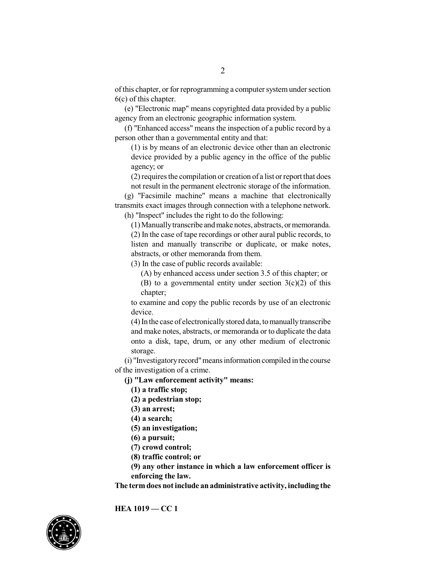ofthis chapter, or for reprogramming a computer systemunder section 6(c) of this chapter.

(e) "Electronic map" means copyrighted data provided by a public agency from an electronic geographic information system.

(f) "Enhanced access" means the inspection of a public record by a person other than a governmental entity and that:

(1) is by means of an electronic device other than an electronic device provided by a public agency in the office of the public agency; or

 $(2)$  requires the compilation or creation of a list or report that does not result in the permanent electronic storage of the information.

(g) "Facsimile machine" means a machine that electronically transmits exact images through connection with a telephone network.

(h) "Inspect" includes the right to do the following:

(1) Manuallytranscribe andmake notes, abstracts, or memoranda. (2) In the case of tape recordings or other aural public records, to listen and manually transcribe or duplicate, or make notes, abstracts, or other memoranda from them.

(3) In the case of public records available:

(A) by enhanced access under section 3.5 of this chapter; or

(B) to a governmental entity under section  $3(c)(2)$  of this chapter;

to examine and copy the public records by use of an electronic device.

(4) In the case of electronicallystored data, tomanuallytranscribe and make notes, abstracts, or memoranda or to duplicate the data onto a disk, tape, drum, or any other medium of electronic storage.

(i) "Investigatoryrecord"meansinformation compiled in the course of the investigation of a crime.

**(j) "Law enforcement activity" means:**

**(1) a traffic stop;**

**(2) a pedestrian stop;**

**(3) an arrest;**

**(4) a search;**

**(5) an investigation;**

**(6) a pursuit;**

**(7) crowd control;**

**(8) traffic control; or**

**(9) any other instance in which a law enforcement officer is enforcing the law.**

**The termdoes notinclude anadministrative activity, including the**

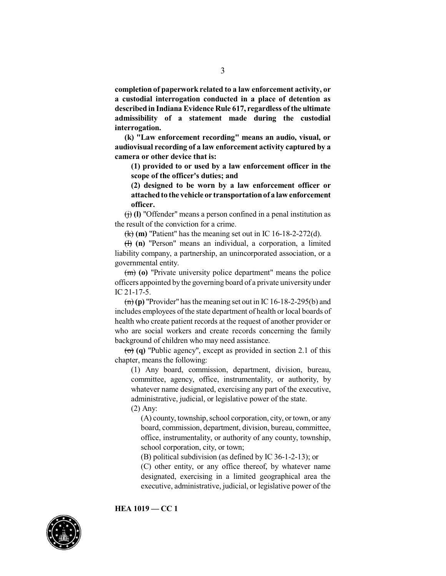**completion of paperwork related to a law enforcement activity, or a custodial interrogation conducted in a place of detention as described in Indiana Evidence Rule 617, regardless ofthe ultimate admissibility of a statement made during the custodial interrogation.**

**(k) "Law enforcement recording" means an audio, visual, or audiovisual recording of a law enforcement activity captured by a camera or other device that is:**

**(1) provided to or used by a law enforcement officer in the scope of the officer's duties; and**

**(2) designed to be worn by a law enforcement officer or attachedto the vehicle or transportationof a lawenforcement officer.**

(j) **(l)** "Offender" means a person confined in a penal institution as the result of the conviction for a crime.

(k) **(m)** "Patient" has the meaning set out in IC 16-18-2-272(d).

(l) **(n)** "Person" means an individual, a corporation, a limited liability company, a partnership, an unincorporated association, or a governmental entity.

(m) **(o)** "Private university police department" means the police officers appointed by the governing board of a private university under IC 21-17-5.

 $\overline{(n)}$  (p) "Provider" has the meaning set out in IC 16-18-2-295(b) and includes employees of the state department of health or local boards of health who create patient records at the request of another provider or who are social workers and create records concerning the family background of children who may need assistance.

 $\overline{(0)}$  (q) "Public agency", except as provided in section 2.1 of this chapter, means the following:

(1) Any board, commission, department, division, bureau, committee, agency, office, instrumentality, or authority, by whatever name designated, exercising any part of the executive, administrative, judicial, or legislative power of the state.

(2) Any:

 $(A)$  county, township, school corporation, city, or town, or any board, commission, department, division, bureau, committee, office, instrumentality, or authority of any county, township, school corporation, city, or town;

(B) political subdivision (as defined by IC 36-1-2-13); or

(C) other entity, or any office thereof, by whatever name designated, exercising in a limited geographical area the executive, administrative, judicial, or legislative power of the

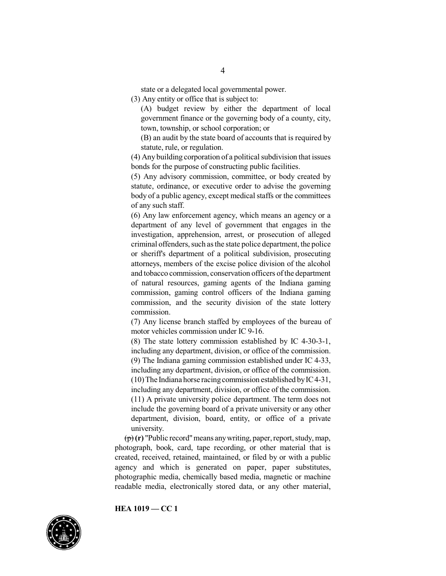state or a delegated local governmental power.

(3) Any entity or office that is subject to:

(A) budget review by either the department of local government finance or the governing body of a county, city, town, township, or school corporation; or

(B) an audit by the state board of accounts that is required by statute, rule, or regulation.

(4) Any building corporation of a political subdivision that issues bonds for the purpose of constructing public facilities.

(5) Any advisory commission, committee, or body created by statute, ordinance, or executive order to advise the governing body of a public agency, except medical staffs or the committees of any such staff.

(6) Any law enforcement agency, which means an agency or a department of any level of government that engages in the investigation, apprehension, arrest, or prosecution of alleged criminal offenders, such as the state police department, the police or sheriff's department of a political subdivision, prosecuting attorneys, members of the excise police division of the alcohol and tobacco commission, conservation officers of the department of natural resources, gaming agents of the Indiana gaming commission, gaming control officers of the Indiana gaming commission, and the security division of the state lottery commission.

(7) Any license branch staffed by employees of the bureau of motor vehicles commission under IC 9-16.

(8) The state lottery commission established by IC 4-30-3-1, including any department, division, or office of the commission. (9) The Indiana gaming commission established under IC 4-33, including any department, division, or office of the commission.  $(10)$  The Indiana horse racing commission established by IC4-31, including any department, division, or office of the commission. (11) A private university police department. The term does not include the governing board of a private university or any other department, division, board, entity, or office of a private university.

(p) **(r)** "Public record"means anywriting, paper,report,study,map, photograph, book, card, tape recording, or other material that is created, received, retained, maintained, or filed by or with a public agency and which is generated on paper, paper substitutes, photographic media, chemically based media, magnetic or machine readable media, electronically stored data, or any other material,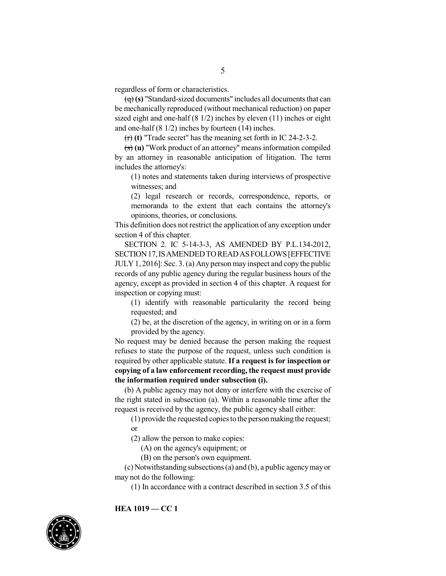regardless of form or characteristics.

 $\left(\frac{q}{r}\right)$  (s) "Standard-sized documents" includes all documents that can be mechanically reproduced (without mechanical reduction) on paper sized eight and one-half (8 1/2) inches by eleven (11) inches or eight and one-half (8 1/2) inches by fourteen (14) inches.

(r) **(t)** "Trade secret" has the meaning set forth in IC 24-2-3-2.

(s) **(u)** "Work product of an attorney" means information compiled by an attorney in reasonable anticipation of litigation. The term includes the attorney's:

(1) notes and statements taken during interviews of prospective witnesses; and

(2) legal research or records, correspondence, reports, or memoranda to the extent that each contains the attorney's opinions, theories, or conclusions.

This definition does not restrict the application of any exception under section 4 of this chapter.

SECTION 2. IC 5-14-3-3, AS AMENDED BY P.L.134-2012, SECTION17,ISAMENDEDTOREADASFOLLOWS[EFFECTIVE JULY1, 2016]: Sec. 3.(a) Any person may inspect and copy the public records of any public agency during the regular business hours of the agency, except as provided in section 4 of this chapter. A request for inspection or copying must:

(1) identify with reasonable particularity the record being requested; and

(2) be, at the discretion of the agency, in writing on or in a form provided by the agency.

No request may be denied because the person making the request refuses to state the purpose of the request, unless such condition is required by other applicable statute. **If a request is for inspection or copying of a law enforcement recording, the request must provide the information required under subsection (i).**

(b) A public agency may not deny or interfere with the exercise of the right stated in subsection (a). Within a reasonable time after the request is received by the agency, the public agency shall either:

(1) provide the requested copies to the person making the request; or

(2) allow the person to make copies:

(A) on the agency's equipment; or

(B) on the person's own equipment.

(c) Notwithstanding subsections(a) and (b), a public agencymayor may not do the following:

(1) In accordance with a contract described in section 3.5 of this

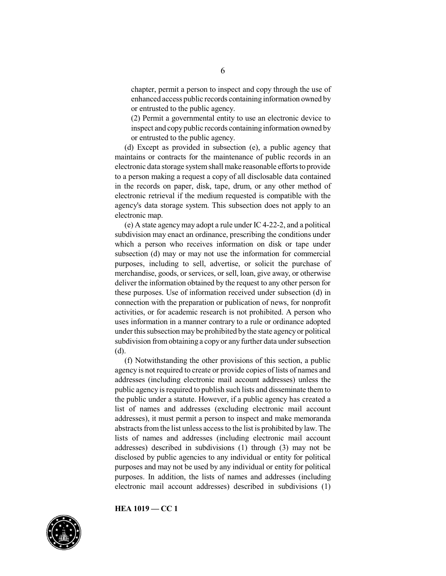chapter, permit a person to inspect and copy through the use of enhanced access public records containing information owned by or entrusted to the public agency.

(2) Permit a governmental entity to use an electronic device to inspect and copypublic records containing information owned by or entrusted to the public agency.

(d) Except as provided in subsection (e), a public agency that maintains or contracts for the maintenance of public records in an electronic data storage systemshall make reasonable efforts to provide to a person making a request a copy of all disclosable data contained in the records on paper, disk, tape, drum, or any other method of electronic retrieval if the medium requested is compatible with the agency's data storage system. This subsection does not apply to an electronic map.

(e) A state agencymay adopt a rule under IC 4-22-2, and a political subdivision may enact an ordinance, prescribing the conditions under which a person who receives information on disk or tape under subsection (d) may or may not use the information for commercial purposes, including to sell, advertise, or solicit the purchase of merchandise, goods, or services, or sell, loan, give away, or otherwise deliver the information obtained by the request to any other person for these purposes. Use of information received under subsection (d) in connection with the preparation or publication of news, for nonprofit activities, or for academic research is not prohibited. A person who uses information in a manner contrary to a rule or ordinance adopted under thissubsection may be prohibited bythe state agency or political subdivision fromobtaining a copy or any further data under subsection (d).

(f) Notwithstanding the other provisions of this section, a public agency is not required to create or provide copies of lists of names and addresses (including electronic mail account addresses) unless the public agency is required to publish such lists and disseminate them to the public under a statute. However, if a public agency has created a list of names and addresses (excluding electronic mail account addresses), it must permit a person to inspect and make memoranda abstracts fromthe list unless accessto the list is prohibited by law. The lists of names and addresses (including electronic mail account addresses) described in subdivisions (1) through (3) may not be disclosed by public agencies to any individual or entity for political purposes and may not be used by any individual or entity for political purposes. In addition, the lists of names and addresses (including electronic mail account addresses) described in subdivisions (1)

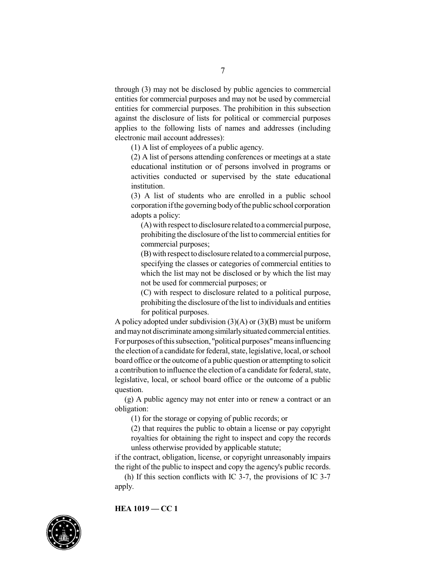through (3) may not be disclosed by public agencies to commercial entities for commercial purposes and may not be used by commercial entities for commercial purposes. The prohibition in this subsection against the disclosure of lists for political or commercial purposes applies to the following lists of names and addresses (including electronic mail account addresses):

(1) A list of employees of a public agency.

(2) A list of persons attending conferences or meetings at a state educational institution or of persons involved in programs or activities conducted or supervised by the state educational institution.

(3) A list of students who are enrolled in a public school corporation ifthe governingbodyofthe public school corporation adopts a policy:

(A) with respect to disclosure related toa commercial purpose, prohibiting the disclosure of the list to commercial entities for commercial purposes;

(B) with respect todisclosure related to a commercial purpose, specifying the classes or categories of commercial entities to which the list may not be disclosed or by which the list may not be used for commercial purposes; or

(C) with respect to disclosure related to a political purpose, prohibiting the disclosure ofthe list to individuals and entities for political purposes.

A policy adopted under subdivision  $(3)(A)$  or  $(3)(B)$  must be uniform and maynot discriminate amongsimilarlysituated commercial entities. For purposes of this subsection, "political purposes" means influencing the election of a candidate for federal, state, legislative, local, or school board office or the outcome of a public question or attempting to solicit a contribution to influence the election of a candidate for federal, state, legislative, local, or school board office or the outcome of a public question.

(g) A public agency may not enter into or renew a contract or an obligation:

(1) for the storage or copying of public records; or

(2) that requires the public to obtain a license or pay copyright royalties for obtaining the right to inspect and copy the records unless otherwise provided by applicable statute;

if the contract, obligation, license, or copyright unreasonably impairs the right of the public to inspect and copy the agency's public records.

(h) If this section conflicts with IC 3-7, the provisions of IC 3-7 apply.

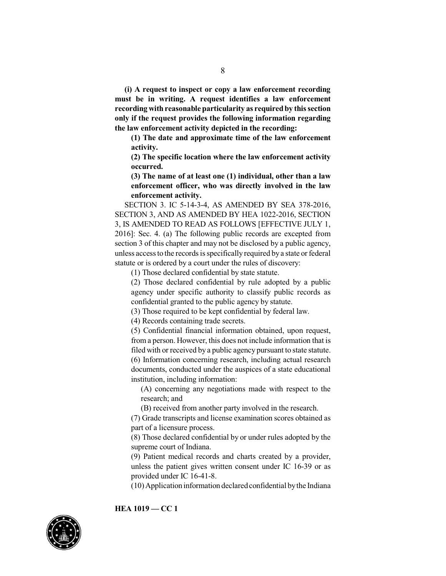**(i) A request to inspect or copy a law enforcement recording must be in writing. A request identifies a law enforcement recording with reasonable particularity as required by this section only if the request provides the following information regarding the law enforcement activity depicted in the recording:**

**(1) The date and approximate time of the law enforcement activity.**

**(2) The specific location where the law enforcement activity occurred.**

**(3) The name of at least one (1) individual, other than a law enforcement officer, who was directly involved in the law enforcement activity.**

SECTION 3. IC 5-14-3-4, AS AMENDED BY SEA 378-2016, SECTION 3, AND AS AMENDED BY HEA 1022-2016, SECTION 3, IS AMENDED TO READ AS FOLLOWS [EFFECTIVE JULY 1, 2016]: Sec. 4. (a) The following public records are excepted from section 3 of this chapter and may not be disclosed by a public agency, unless accessto the records isspecifically required by a state or federal statute or is ordered by a court under the rules of discovery:

(1) Those declared confidential by state statute.

(2) Those declared confidential by rule adopted by a public agency under specific authority to classify public records as confidential granted to the public agency by statute.

(3) Those required to be kept confidential by federal law.

(4) Records containing trade secrets.

(5) Confidential financial information obtained, upon request, from a person. However, this does not include information that is filed with or received by a public agency pursuant to state statute. (6) Information concerning research, including actual research documents, conducted under the auspices of a state educational institution, including information:

(A) concerning any negotiations made with respect to the research; and

(B) received from another party involved in the research.

(7) Grade transcripts and license examination scores obtained as part of a licensure process.

(8) Those declared confidential by or under rules adopted by the supreme court of Indiana.

(9) Patient medical records and charts created by a provider, unless the patient gives written consent under IC 16-39 or as provided under IC 16-41-8.

(10)Application information declaredconfidential bythe Indiana

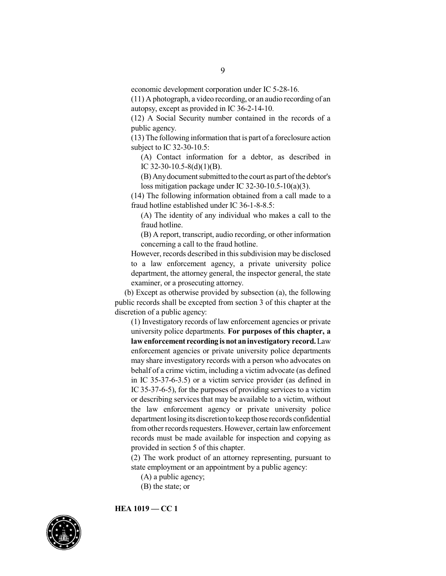(11) A photograph, a video recording, or an audio recording of an autopsy, except as provided in IC 36-2-14-10.

(12) A Social Security number contained in the records of a public agency.

(13) The following information that is part of a foreclosure action subject to IC 32-30-10.5:

(A) Contact information for a debtor, as described in IC 32-30-10.5-8(d)(1)(B).

(B) Any document submitted to the court as part of the debtor's loss mitigation package under IC 32-30-10.5-10(a)(3).

(14) The following information obtained from a call made to a fraud hotline established under IC 36-1-8-8.5:

(A) The identity of any individual who makes a call to the fraud hotline.

(B) A report, transcript, audio recording, or other information concerning a call to the fraud hotline.

However, records described in this subdivision may be disclosed to a law enforcement agency, a private university police department, the attorney general, the inspector general, the state examiner, or a prosecuting attorney.

(b) Except as otherwise provided by subsection (a), the following public records shall be excepted from section 3 of this chapter at the discretion of a public agency:

(1) Investigatory records of law enforcement agencies or private university police departments. **For purposes of this chapter, a lawenforcement recording isnot aninvestigatory record.**Law enforcement agencies or private university police departments may share investigatory records with a person who advocates on behalf of a crime victim, including a victim advocate (as defined in IC 35-37-6-3.5) or a victim service provider (as defined in IC 35-37-6-5), for the purposes of providing services to a victim or describing services that may be available to a victim, without the law enforcement agency or private university police department losingits discretion tokeep those records confidential from other records requesters. However, certain law enforcement records must be made available for inspection and copying as provided in section 5 of this chapter.

(2) The work product of an attorney representing, pursuant to state employment or an appointment by a public agency:

- (A) a public agency;
- (B) the state; or

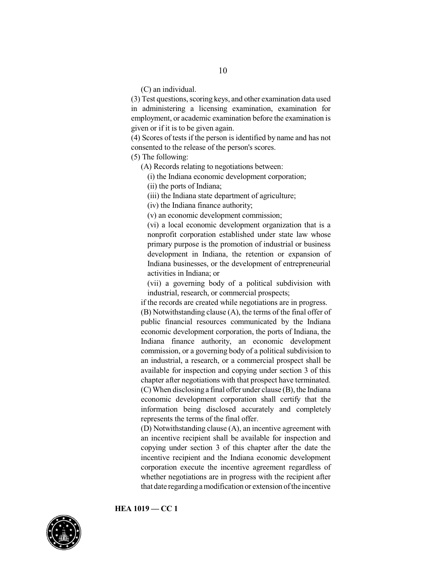(C) an individual.

(3) Test questions, scoring keys, and other examination data used in administering a licensing examination, examination for employment, or academic examination before the examination is given or if it is to be given again.

(4) Scores of tests if the person is identified by name and has not consented to the release of the person's scores.

(5) The following:

(A) Records relating to negotiations between:

(i) the Indiana economic development corporation;

(ii) the ports of Indiana;

(iii) the Indiana state department of agriculture;

(iv) the Indiana finance authority;

(v) an economic development commission;

(vi) a local economic development organization that is a nonprofit corporation established under state law whose primary purpose is the promotion of industrial or business development in Indiana, the retention or expansion of Indiana businesses, or the development of entrepreneurial activities in Indiana; or

(vii) a governing body of a political subdivision with industrial, research, or commercial prospects;

if the records are created while negotiations are in progress.

(B) Notwithstanding clause (A), the terms of the final offer of public financial resources communicated by the Indiana economic development corporation, the ports of Indiana, the Indiana finance authority, an economic development commission, or a governing body of a political subdivision to an industrial, a research, or a commercial prospect shall be available for inspection and copying under section 3 of this chapter after negotiations with that prospect have terminated. (C) When disclosing a final offer under clause (B), the Indiana economic development corporation shall certify that the information being disclosed accurately and completely represents the terms of the final offer.

(D) Notwithstanding clause (A), an incentive agreement with an incentive recipient shall be available for inspection and copying under section 3 of this chapter after the date the incentive recipient and the Indiana economic development corporation execute the incentive agreement regardless of whether negotiations are in progress with the recipient after that date regarding a modification or extension of the incentive

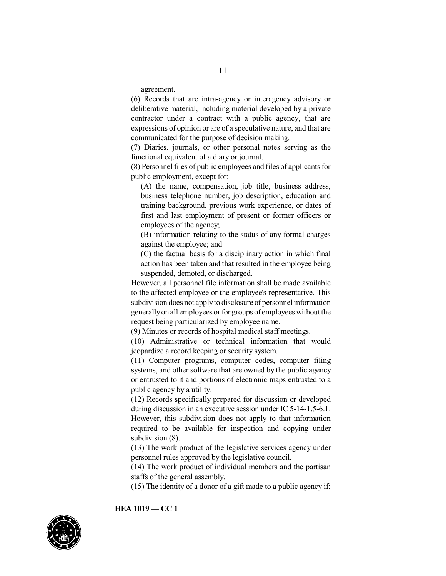agreement.

(6) Records that are intra-agency or interagency advisory or deliberative material, including material developed by a private contractor under a contract with a public agency, that are expressions of opinion or are of a speculative nature, and that are communicated for the purpose of decision making.

(7) Diaries, journals, or other personal notes serving as the functional equivalent of a diary or journal.

(8) Personnel files of public employees and files of applicantsfor public employment, except for:

(A) the name, compensation, job title, business address, business telephone number, job description, education and training background, previous work experience, or dates of first and last employment of present or former officers or employees of the agency;

(B) information relating to the status of any formal charges against the employee; and

(C) the factual basis for a disciplinary action in which final action has been taken and that resulted in the employee being suspended, demoted, or discharged.

However, all personnel file information shall be made available to the affected employee or the employee's representative. This subdivision does not applyto disclosure of personnel information generallyon all employees or for groups of employees withoutthe request being particularized by employee name.

(9) Minutes or records of hospital medical staff meetings.

(10) Administrative or technical information that would jeopardize a record keeping or security system.

(11) Computer programs, computer codes, computer filing systems, and other software that are owned by the public agency or entrusted to it and portions of electronic maps entrusted to a public agency by a utility.

(12) Records specifically prepared for discussion or developed during discussion in an executive session under IC 5-14-1.5-6.1. However, this subdivision does not apply to that information required to be available for inspection and copying under subdivision (8).

(13) The work product of the legislative services agency under personnel rules approved by the legislative council.

(14) The work product of individual members and the partisan staffs of the general assembly.

(15) The identity of a donor of a gift made to a public agency if:

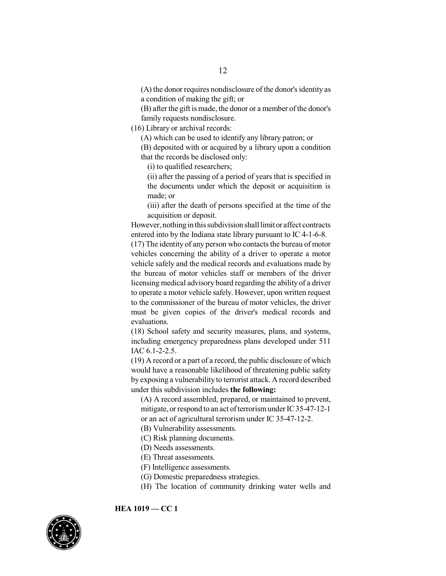(A) the donor requires nondisclosure of the donor's identity as a condition of making the gift; or

(B) after the gift is made, the donor or a member of the donor's family requests nondisclosure.

(16) Library or archival records:

(A) which can be used to identify any library patron; or

(B) deposited with or acquired by a library upon a condition that the records be disclosed only:

(i) to qualified researchers;

(ii) after the passing of a period of years that is specified in the documents under which the deposit or acquisition is made; or

(iii) after the death of persons specified at the time of the acquisition or deposit.

However, nothing in this subdivision shall limit or affect contracts entered into by the Indiana state library pursuant to IC 4-1-6-8.

 $(17)$  The identity of any person who contacts the bureau of motor vehicles concerning the ability of a driver to operate a motor vehicle safely and the medical records and evaluations made by the bureau of motor vehicles staff or members of the driver licensing medical advisory board regarding the ability of a driver to operate a motor vehicle safely. However, upon written request to the commissioner of the bureau of motor vehicles, the driver must be given copies of the driver's medical records and evaluations.

(18) School safety and security measures, plans, and systems, including emergency preparedness plans developed under 511 IAC 6.1-2-2.5.

(19) A record or a part of a record, the public disclosure of which would have a reasonable likelihood of threatening public safety by exposing a vulnerability to terrorist attack. A record described under this subdivision includes **the following:**

(A) A record assembled, prepared, or maintained to prevent, mitigate, or respond to an act of terrorism under IC 35-47-12-1 or an act of agricultural terrorism under IC 35-47-12-2.

(B) Vulnerability assessments.

- (C) Risk planning documents.
- (D) Needs assessments.
- (E) Threat assessments.
- (F) Intelligence assessments.
- (G) Domestic preparedness strategies.
- (H) The location of community drinking water wells and

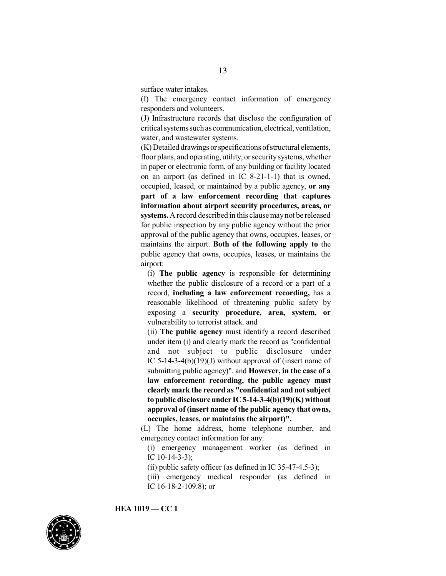surface water intakes.

(I) The emergency contact information of emergency responders and volunteers.

(J) Infrastructure records that disclose the configuration of critical systems such as communication, electrical, ventilation, water, and wastewater systems.

(K) Detailed drawings or specifications ofstructural elements, floor plans, and operating, utility, or securitysystems, whether in paper or electronic form, of any building or facility located on an airport (as defined in IC 8-21-1-1) that is owned, occupied, leased, or maintained by a public agency, **or any part of a law enforcement recording that captures information about airport security procedures, areas, or** systems. A record described in this clause may not be released for public inspection by any public agency without the prior approval of the public agency that owns, occupies, leases, or maintains the airport. **Both of the following apply to** the public agency that owns, occupies, leases, or maintains the airport:

(i) **The public agency** is responsible for determining whether the public disclosure of a record or a part of a record, **including a law enforcement recording,** has a reasonable likelihood of threatening public safety by exposing a **security procedure, area, system, or** vulnerability to terrorist attack. and

(ii) **The public agency** must identify a record described under item (i) and clearly mark the record as "confidential and not subject to public disclosure under IC 5-14-3-4(b)(19)(J) without approval of (insert name of submitting public agency)". and **However, in the case of a law enforcement recording, the public agency must clearly mark the record as "confidential and notsubject to public disclosureunder IC5-14-3-4(b)(19)(K) without approval of (insert name of the public agency that owns, occupies, leases, or maintains the airport)".**

(L) The home address, home telephone number, and emergency contact information for any:

(i) emergency management worker (as defined in IC 10-14-3-3);

(ii) public safety officer (as defined in IC 35-47-4.5-3);

(iii) emergency medical responder (as defined in IC 16-18-2-109.8); or

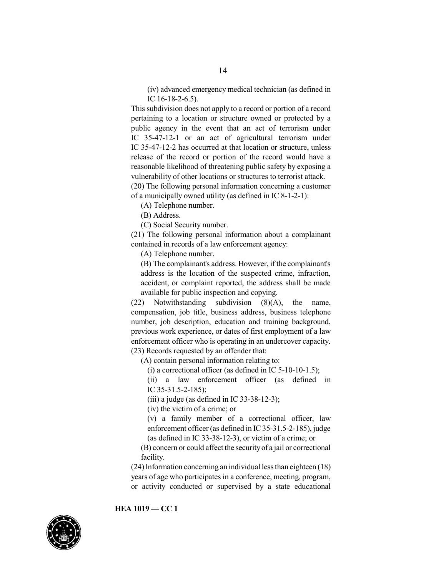(iv) advanced emergency medical technician (as defined in IC 16-18-2-6.5).

This subdivision does not apply to a record or portion of a record pertaining to a location or structure owned or protected by a public agency in the event that an act of terrorism under IC 35-47-12-1 or an act of agricultural terrorism under IC 35-47-12-2 has occurred at that location or structure, unless release of the record or portion of the record would have a reasonable likelihood of threatening public safety by exposing a vulnerability of other locations or structures to terrorist attack.

(20) The following personal information concerning a customer of a municipally owned utility (as defined in IC 8-1-2-1):

(A) Telephone number.

(B) Address.

(C) Social Security number.

(21) The following personal information about a complainant contained in records of a law enforcement agency:

(A) Telephone number.

(B) The complainant's address. However, if the complainant's address is the location of the suspected crime, infraction, accident, or complaint reported, the address shall be made available for public inspection and copying.

(22) Notwithstanding subdivision (8)(A), the name, compensation, job title, business address, business telephone number, job description, education and training background, previous work experience, or dates of first employment of a law enforcement officer who is operating in an undercover capacity. (23) Records requested by an offender that:

(A) contain personal information relating to:

(i) a correctional officer (as defined in IC  $5-10-10-1.5$ );

(ii) a law enforcement officer (as defined in IC 35-31.5-2-185);

(iii) a judge (as defined in IC 33-38-12-3);

(iv) the victim of a crime; or

(v) a family member of a correctional officer, law enforcement officer (as defined in IC35-31.5-2-185), judge (as defined in IC 33-38-12-3), or victim of a crime; or

(B) concern or could affect the securityof a jail or correctional facility.

 $(24)$  Information concerning an individual less than eighteen  $(18)$ years of age who participates in a conference, meeting, program, or activity conducted or supervised by a state educational

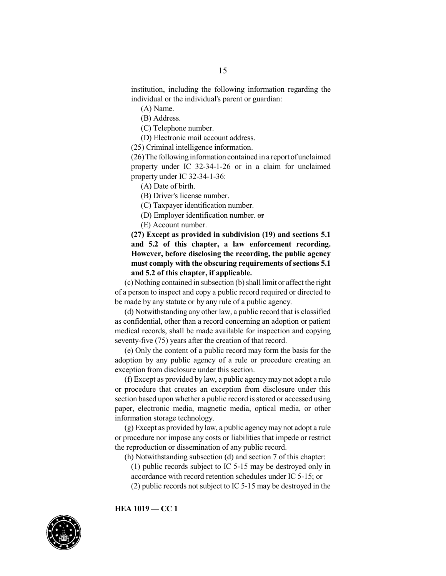institution, including the following information regarding the individual or the individual's parent or guardian:

(A) Name.

(B) Address.

(C) Telephone number.

(D) Electronic mail account address.

(25) Criminal intelligence information.

(26)The followinginformation contained in a report of unclaimed property under IC 32-34-1-26 or in a claim for unclaimed property under IC 32-34-1-36:

(A) Date of birth.

(B) Driver's license number.

(C) Taxpayer identification number.

(D) Employer identification number. or

(E) Account number.

**(27) Except as provided in subdivision (19) and sections 5.1 and 5.2 of this chapter, a law enforcement recording. However, before disclosing the recording, the public agency must comply with the obscuring requirements of sections 5.1 and 5.2 of this chapter, if applicable.**

(c) Nothing contained in subsection (b) shall limit or affect the right of a person to inspect and copy a public record required or directed to be made by any statute or by any rule of a public agency.

(d) Notwithstanding any other law, a public record that is classified as confidential, other than a record concerning an adoption or patient medical records, shall be made available for inspection and copying seventy-five (75) years after the creation of that record.

(e) Only the content of a public record may form the basis for the adoption by any public agency of a rule or procedure creating an exception from disclosure under this section.

(f) Except as provided by law, a public agencymay not adopt a rule or procedure that creates an exception from disclosure under this section based upon whether a public record is stored or accessed using paper, electronic media, magnetic media, optical media, or other information storage technology.

(g) Except as provided by law, a public agencymay not adopt a rule or procedure nor impose any costs or liabilities that impede or restrict the reproduction or dissemination of any public record.

(h) Notwithstanding subsection (d) and section 7 of this chapter:

(1) public records subject to IC 5-15 may be destroyed only in

accordance with record retention schedules under IC 5-15; or

(2) public records not subject to IC 5-15 may be destroyed in the

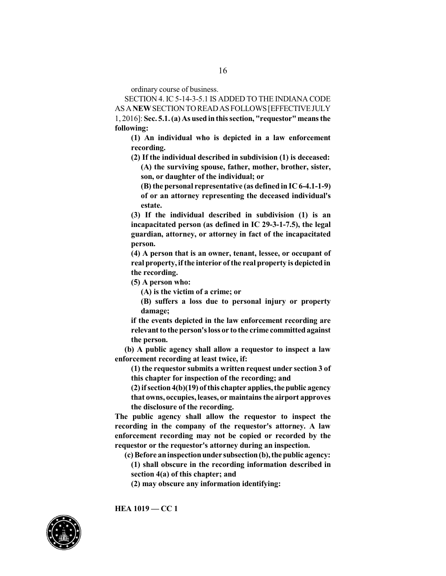16

ordinary course of business.

SECTION 4. IC 5-14-3-5.1 IS ADDED TO THE INDIANA CODE ASA**NEW**SECTIONTOREADASFOLLOWS[EFFECTIVEJULY 1, 2016]: **Sec. 5.1.(a) As usedinthissection, "requestor"means the following:**

**(1) An individual who is depicted in a law enforcement recording.**

**(2) If the individual described in subdivision (1) is deceased: (A) the surviving spouse, father, mother, brother, sister, son, or daughter of the individual; or**

**(B) the personal representative (as defined in IC 6-4.1-1-9) of or an attorney representing the deceased individual's estate.**

**(3) If the individual described in subdivision (1) is an incapacitated person (as defined in IC 29-3-1-7.5), the legal guardian, attorney, or attorney in fact of the incapacitated person.**

**(4) A person that is an owner, tenant, lessee, or occupant of real property, ifthe interior ofthe real property is depicted in the recording.**

**(5) A person who:**

**(A) is the victim of a crime; or**

**(B) suffers a loss due to personal injury or property damage;**

**if the events depicted in the law enforcement recording are relevant to the person'sloss or to the crime committedagainst the person.**

**(b) A public agency shall allow a requestor to inspect a law enforcement recording at least twice, if:**

**(1) the requestor submits a written request under section 3 of this chapter for inspection of the recording; and**

**(2) ifsection4(b)(19) ofthis chapter applies,the public agency that owns, occupies, leases, or maintains the airport approves the disclosure of the recording.**

**The public agency shall allow the requestor to inspect the recording in the company of the requestor's attorney. A law enforcement recording may not be copied or recorded by the requestor or the requestor's attorney during an inspection.**

**(c) Before aninspectionunder subsection(b),the public agency: (1) shall obscure in the recording information described in**

**section 4(a) of this chapter; and**

**(2) may obscure any information identifying:**

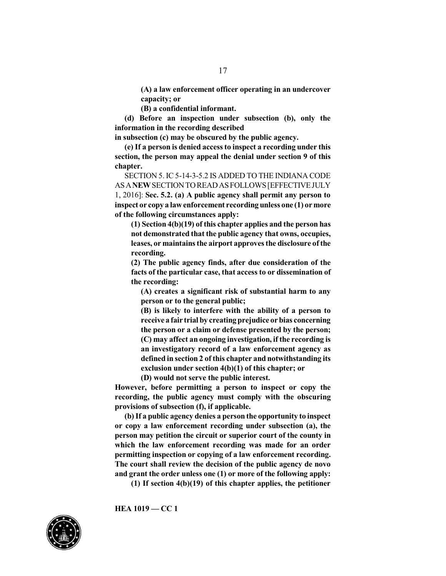**(A) a law enforcement officer operating in an undercover capacity; or**

**(B) a confidential informant.**

**(d) Before an inspection under subsection (b), only the information in the recording described**

**in subsection (c) may be obscured by the public agency.**

**(e) If a person is denied accessto inspect a recording under this section, the person may appeal the denial under section 9 of this chapter.**

SECTION 5. IC 5-14-3-5.2 IS ADDED TO THE INDIANA CODE ASA**NEW**SECTIONTOREADASFOLLOWS[EFFECTIVEJULY 1, 2016]: **Sec. 5.2. (a) A public agency shall permit any person to inspect or copy a lawenforcement recording unless one (1) ormore of the following circumstances apply:**

**(1) Section 4(b)(19) of this chapter applies and the person has not demonstrated that the public agency that owns, occupies, leases, or maintains the airport approves the disclosure ofthe recording.**

**(2) The public agency finds, after due consideration of the facts of the particular case, that access to or dissemination of the recording:**

**(A) creates a significant risk of substantial harm to any person or to the general public;**

**(B) is likely to interfere with the ability of a person to receive a fair trial by creating prejudice orbias concerning the person or a claim or defense presented by the person; (C) may affect an ongoing investigation, if the recording is an investigatory record of a law enforcement agency as defined in section 2 of this chapter and notwithstanding its exclusion under section 4(b)(1) of this chapter; or**

**(D) would not serve the public interest.**

**However, before permitting a person to inspect or copy the recording, the public agency must comply with the obscuring provisions of subsection (f), if applicable.**

**(b) If a public agency denies a person the opportunity to inspect or copy a law enforcement recording under subsection (a), the person may petition the circuit or superior court of the county in which the law enforcement recording was made for an order permitting inspection or copying of a law enforcement recording. The court shall review the decision of the public agency de novo and grant the order unless one (1) or more of the following apply:**

**(1) If section 4(b)(19) of this chapter applies, the petitioner**

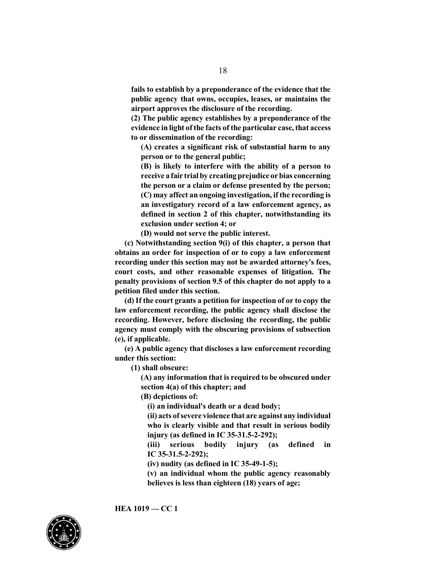**fails to establish by a preponderance of the evidence that the public agency that owns, occupies, leases, or maintains the airport approves the disclosure of the recording.**

**(2) The public agency establishes by a preponderance of the evidence in light ofthe facts of the particular case, that access to or dissemination of the recording:**

**(A) creates a significant risk of substantial harm to any person or to the general public;**

**(B) is likely to interfere with the ability of a person to receive a fair trial by creating prejudice orbias concerning the person or a claim or defense presented by the person; (C) may affect an ongoing investigation, if the recording is an investigatory record of a law enforcement agency, as defined in section 2 of this chapter, notwithstanding its exclusion under section 4; or**

**(D) would not serve the public interest.**

**(c) Notwithstanding section 9(i) of this chapter, a person that obtains an order for inspection of or to copy a law enforcement recording under this section may not be awarded attorney's fees, court costs, and other reasonable expenses of litigation. The penalty provisions of section 9.5 of this chapter do not apply to a petition filed under this section.**

**(d) If the court grants a petition for inspection of or to copy the law enforcement recording, the public agency shall disclose the recording. However, before disclosing the recording, the public agency must comply with the obscuring provisions of subsection (e), if applicable.**

**(e) A public agency that discloses a law enforcement recording under this section:**

**(1) shall obscure:**

**(A) any information that is required to be obscured under section 4(a) of this chapter; and**

**(B) depictions of:**

**(i) an individual's death or a dead body;**

**(ii) acts ofsevere violence that are against any individual who is clearly visible and that result in serious bodily injury (as defined in IC 35-31.5-2-292);**

**(iii) serious bodily injury (as defined in IC 35-31.5-2-292);**

**(iv) nudity (as defined in IC 35-49-1-5);**

**(v) an individual whom the public agency reasonably believes is less than eighteen (18) years of age;**

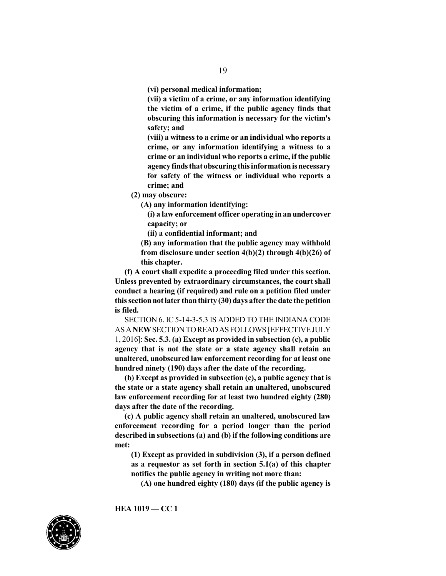**(vi) personal medical information;**

**(vii) a victim of a crime, or any information identifying the victim of a crime, if the public agency finds that obscuring this information is necessary for the victim's safety; and**

**(viii) a witness to a crime or an individual who reports a crime, or any information identifying a witness to a crime or an individual who reports a crime, if the public agencyfinds that obscuring thisinformationisnecessary for safety of the witness or individual who reports a crime; and**

**(2) may obscure:**

**(A) any information identifying:**

**(i) a law enforcement officer operating in an undercover capacity; or**

**(ii) a confidential informant; and**

**(B) any information that the public agency may withhold from disclosure under section 4(b)(2) through 4(b)(26) of this chapter.**

**(f) A court shall expedite a proceeding filed under this section. Unless prevented by extraordinary circumstances, the court shall conduct a hearing (if required) and rule on a petition filed under thissectionnotlater thanthirty (30) days after the date the petition is filed.**

SECTION 6. IC 5-14-3-5.3 IS ADDED TO THE INDIANA CODE ASA**NEW**SECTIONTOREADASFOLLOWS[EFFECTIVEJULY 1, 2016]: **Sec. 5.3. (a) Except as provided in subsection (c), a public agency that is not the state or a state agency shall retain an unaltered, unobscured law enforcement recording for at least one hundred ninety (190) days after the date of the recording.**

**(b) Except as provided in subsection (c), a public agency that is the state or a state agency shall retain an unaltered, unobscured law enforcement recording for at least two hundred eighty (280) days after the date of the recording.**

**(c) A public agency shall retain an unaltered, unobscured law enforcement recording for a period longer than the period described in subsections (a) and (b) if the following conditions are met:**

**(1) Except as provided in subdivision (3), if a person defined as a requestor as set forth in section 5.1(a) of this chapter notifies the public agency in writing not more than:**

**(A) one hundred eighty (180) days (if the public agency is**

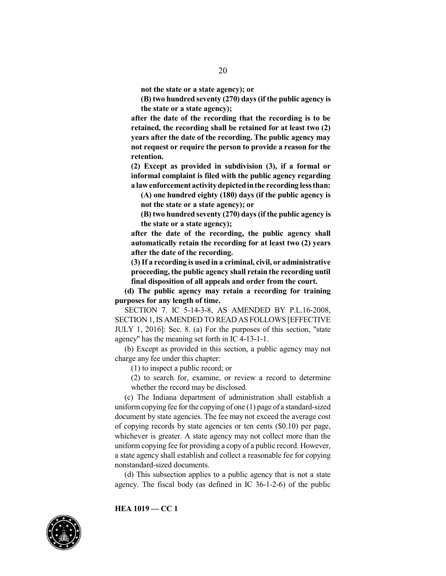**not the state or a state agency); or**

**(B) two hundred seventy (270) days (if the public agency is the state or a state agency);**

**after the date of the recording that the recording is to be retained, the recording shall be retained for at least two (2) years after the date of the recording. The public agency may not request or require the person to provide a reason for the retention.**

**(2) Except as provided in subdivision (3), if a formal or informal complaint is filed with the public agency regarding a lawenforcement activitydepictedinthe recording lessthan:**

**(A) one hundred eighty (180) days (if the public agency is not the state or a state agency); or**

**(B) two hundred seventy (270) days (if the public agency is the state or a state agency);**

**after the date of the recording, the public agency shall automatically retain the recording for at least two (2) years after the date of the recording.**

**(3) If a recording is used in a criminal, civil, or administrative proceeding, the public agency shall retain the recording until final disposition of all appeals and order from the court.**

**(d) The public agency may retain a recording for training purposes for any length of time.**

SECTION 7. IC 5-14-3-8, AS AMENDED BY P.L.16-2008, SECTION 1,IS AMENDED TO READ AS FOLLOWS [EFFECTIVE JULY 1, 2016]: Sec. 8. (a) For the purposes of this section, "state agency" has the meaning set forth in IC 4-13-1-1.

(b) Except as provided in this section, a public agency may not charge any fee under this chapter:

(1) to inspect a public record; or

(2) to search for, examine, or review a record to determine whether the record may be disclosed.

(c) The Indiana department of administration shall establish a uniform copying fee for the copying of one  $(1)$  page of a standard-sized document by state agencies. The fee may not exceed the average cost of copying records by state agencies or ten cents (\$0.10) per page, whichever is greater. A state agency may not collect more than the uniform copying fee for providing a copy of a public record. However, a state agency shall establish and collect a reasonable fee for copying nonstandard-sized documents.

(d) This subsection applies to a public agency that is not a state agency. The fiscal body (as defined in IC 36-1-2-6) of the public

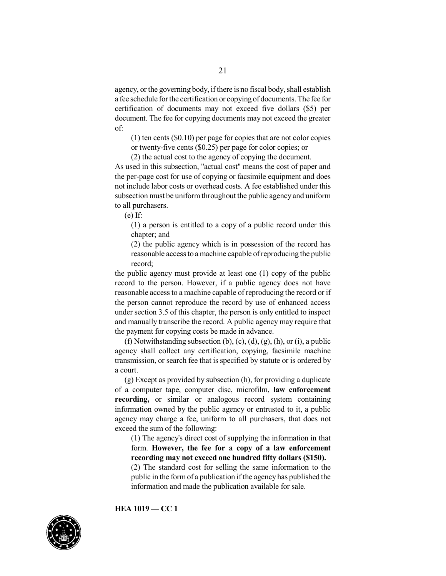agency, or the governing body, if there is no fiscal body, shall establish a fee schedule for the certification or copying of documents.The fee for certification of documents may not exceed five dollars (\$5) per document. The fee for copying documents may not exceed the greater of:

 $(1)$  ten cents  $(\$0.10)$  per page for copies that are not color copies or twenty-five cents (\$0.25) per page for color copies; or

(2) the actual cost to the agency of copying the document.

As used in this subsection, "actual cost" means the cost of paper and the per-page cost for use of copying or facsimile equipment and does not include labor costs or overhead costs. A fee established under this subsection must be uniform throughout the public agency and uniform to all purchasers.

(e) If:

(1) a person is entitled to a copy of a public record under this chapter; and

(2) the public agency which is in possession of the record has reasonable accessto a machine capable ofreproducing the public record;

the public agency must provide at least one (1) copy of the public record to the person. However, if a public agency does not have reasonable accessto a machine capable of reproducing the record or if the person cannot reproduce the record by use of enhanced access under section 3.5 of this chapter, the person is only entitled to inspect and manually transcribe the record. A public agency may require that the payment for copying costs be made in advance.

(f) Notwithstanding subsection (b), (c), (d), (g), (h), or (i), a public agency shall collect any certification, copying, facsimile machine transmission, or search fee that is specified by statute or is ordered by a court.

(g) Except as provided by subsection (h), for providing a duplicate of a computer tape, computer disc, microfilm, **law enforcement recording,** or similar or analogous record system containing information owned by the public agency or entrusted to it, a public agency may charge a fee, uniform to all purchasers, that does not exceed the sum of the following:

(1) The agency's direct cost of supplying the information in that form. **However, the fee for a copy of a law enforcement recording may not exceed one hundred fifty dollars (\$150).**

(2) The standard cost for selling the same information to the public in the formof a publication ifthe agency has published the information and made the publication available for sale.

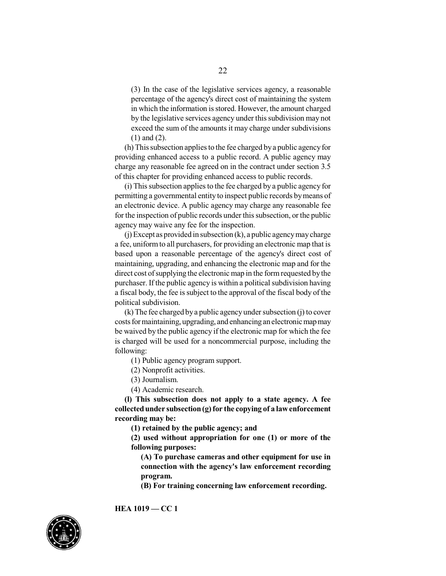(3) In the case of the legislative services agency, a reasonable percentage of the agency's direct cost of maintaining the system in which the information is stored. However, the amount charged by the legislative services agency under this subdivision may not exceed the sum of the amounts it may charge under subdivisions (1) and (2).

(h) This subsection applies to the fee charged bya public agencyfor providing enhanced access to a public record. A public agency may charge any reasonable fee agreed on in the contract under section 3.5 of this chapter for providing enhanced access to public records.

(i) This subsection applies to the fee charged by a public agency for permitting a governmental entity to inspect public records bymeans of an electronic device. A public agency may charge any reasonable fee for the inspection of public records under this subsection, or the public agency may waive any fee for the inspection.

(j) Except as provided in subsection (k), a public agencymaycharge a fee, uniformto all purchasers, for providing an electronic map that is based upon a reasonable percentage of the agency's direct cost of maintaining, upgrading, and enhancing the electronic map and for the direct cost of supplying the electronic map in the form requested by the purchaser. If the public agency is within a political subdivision having a fiscal body, the fee issubject to the approval of the fiscal body of the political subdivision.

(k) The fee charged bya public agency under subsection (j) to cover costs for maintaining, upgrading, and enhancingan electronic mapmay be waived by the public agency if the electronic map for which the fee is charged will be used for a noncommercial purpose, including the following:

(1) Public agency program support.

(2) Nonprofit activities.

(3) Journalism.

(4) Academic research.

**(l) This subsection does not apply to a state agency. A fee collectedunder subsection(g) for the copying of a lawenforcement recording may be:**

**(1) retained by the public agency; and**

**(2) used without appropriation for one (1) or more of the following purposes:**

**(A) To purchase cameras and other equipment for use in connection with the agency's law enforcement recording program.**

**(B) For training concerning law enforcement recording.**

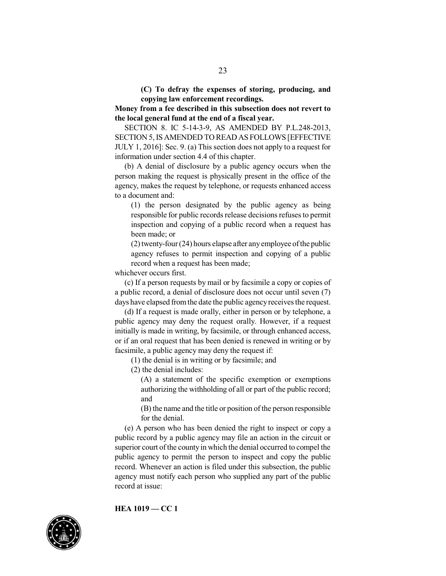**(C) To defray the expenses of storing, producing, and copying law enforcement recordings.**

**Money from a fee described in this subsection does not revert to the local general fund at the end of a fiscal year.**

SECTION 8. IC 5-14-3-9, AS AMENDED BY P.L.248-2013, SECTION 5,IS AMENDED TO READ AS FOLLOWS [EFFECTIVE JULY 1, 2016]: Sec. 9. (a) This section does not apply to a request for information under section 4.4 of this chapter.

(b) A denial of disclosure by a public agency occurs when the person making the request is physically present in the office of the agency, makes the request by telephone, or requests enhanced access to a document and:

(1) the person designated by the public agency as being responsible for public records release decisions refuses to permit inspection and copying of a public record when a request has been made; or

 $(2)$  twenty-four  $(24)$  hours elapse after any employee of the public agency refuses to permit inspection and copying of a public record when a request has been made;

whichever occurs first.

(c) If a person requests by mail or by facsimile a copy or copies of a public record, a denial of disclosure does not occur until seven (7) days have elapsed from the date the public agency receives the request.

(d) If a request is made orally, either in person or by telephone, a public agency may deny the request orally. However, if a request initially is made in writing, by facsimile, or through enhanced access, or if an oral request that has been denied is renewed in writing or by facsimile, a public agency may deny the request if:

(1) the denial is in writing or by facsimile; and

(2) the denial includes:

(A) a statement of the specific exemption or exemptions authorizing the withholding of all or part of the public record; and

(B) the name and the title or position of the person responsible for the denial.

(e) A person who has been denied the right to inspect or copy a public record by a public agency may file an action in the circuit or superior court of the county in which the denial occurred to compel the public agency to permit the person to inspect and copy the public record. Whenever an action is filed under this subsection, the public agency must notify each person who supplied any part of the public record at issue:

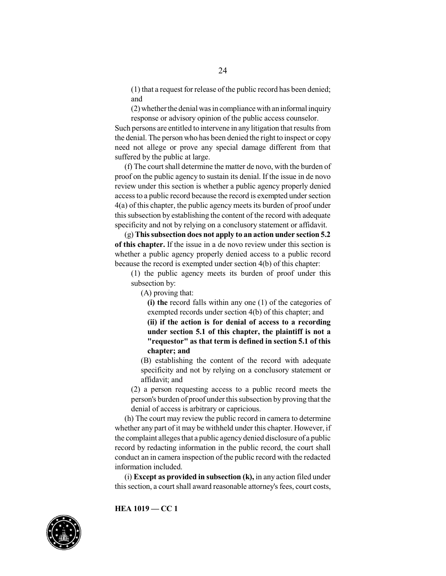(1) that a request for release of the public record has been denied; and

 $(2)$  whether the denial was in compliance with an informal inquiry response or advisory opinion of the public access counselor.

Such persons are entitled to intervene in any litigation that results from the denial. The person who has been denied the right to inspect or copy need not allege or prove any special damage different from that suffered by the public at large.

(f) The court shall determine the matter de novo, with the burden of proof on the public agency to sustain its denial. If the issue in de novo review under this section is whether a public agency properly denied accessto a public record because the record is exempted under section 4(a) of this chapter, the public agency meets its burden of proof under thissubsection by establishing the content of the record with adequate specificity and not by relying on a conclusory statement or affidavit.

(g) **Thissubsection does not apply to an action under section 5.2 of this chapter.** If the issue in a de novo review under this section is whether a public agency properly denied access to a public record because the record is exempted under section 4(b) of this chapter:

(1) the public agency meets its burden of proof under this subsection by:

(A) proving that:

**(i) the** record falls within any one (1) of the categories of exempted records under section 4(b) of this chapter; and

**(ii) if the action is for denial of access to a recording under section 5.1 of this chapter, the plaintiff is not a "requestor" as that term is defined in section 5.1 of this chapter; and**

(B) establishing the content of the record with adequate specificity and not by relying on a conclusory statement or affidavit; and

(2) a person requesting access to a public record meets the person's burden of proof under thissubsection by proving that the denial of access is arbitrary or capricious.

(h) The court may review the public record in camera to determine whether any part of it may be withheld under this chapter. However, if the complaint alleges that a public agency denied disclosure of a public record by redacting information in the public record, the court shall conduct an in camera inspection of the public record with the redacted information included.

(i) **Except as provided in subsection (k),** in any action filed under this section, a court shall award reasonable attorney's fees, court costs,

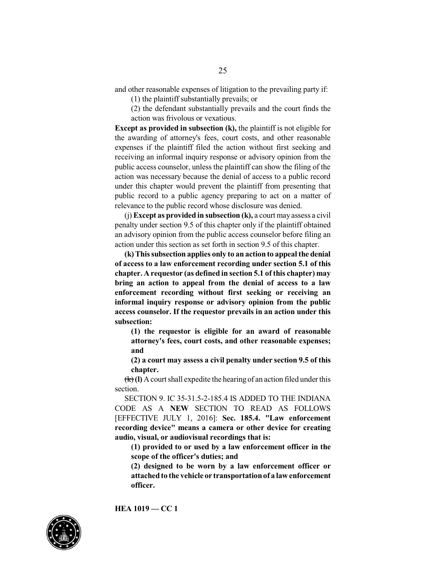and other reasonable expenses of litigation to the prevailing party if:

(1) the plaintiff substantially prevails; or

(2) the defendant substantially prevails and the court finds the action was frivolous or vexatious.

**Except as provided in subsection (k),** the plaintiff is not eligible for the awarding of attorney's fees, court costs, and other reasonable expenses if the plaintiff filed the action without first seeking and receiving an informal inquiry response or advisory opinion from the public access counselor, unless the plaintiff can show the filing of the action was necessary because the denial of access to a public record under this chapter would prevent the plaintiff from presenting that public record to a public agency preparing to act on a matter of relevance to the public record whose disclosure was denied.

(j) **Except as provided in subsection (k),** a court may assess a civil penalty under section 9.5 of this chapter only if the plaintiff obtained an advisory opinion from the public access counselor before filing an action under this section as set forth in section 9.5 of this chapter.

**(k) Thissubsection applies only to an action to appeal the denial of access to a law enforcement recording under section 5.1 of this chapter. A requestor (as defined in section 5.1 of this chapter) may bring an action to appeal from the denial of access to a law enforcement recording without first seeking or receiving an informal inquiry response or advisory opinion from the public access counselor. If the requestor prevails in an action under this subsection:**

**(1) the requestor is eligible for an award of reasonable attorney's fees, court costs, and other reasonable expenses; and**

**(2) a court may assess a civil penalty under section 9.5 of this chapter.**

 $(\mathbf{k})$  (I) A court shall expedite the hearing of an action filed under this section.

SECTION 9. IC 35-31.5-2-185.4 IS ADDED TO THE INDIANA CODE AS A **NEW** SECTION TO READ AS FOLLOWS [EFFECTIVE JULY 1, 2016]: **Sec. 185.4. "Law enforcement recording device" means a camera or other device for creating audio, visual, or audiovisual recordings that is:**

**(1) provided to or used by a law enforcement officer in the scope of the officer's duties; and**

**(2) designed to be worn by a law enforcement officer or attachedto the vehicle or transportationof a lawenforcement officer.**

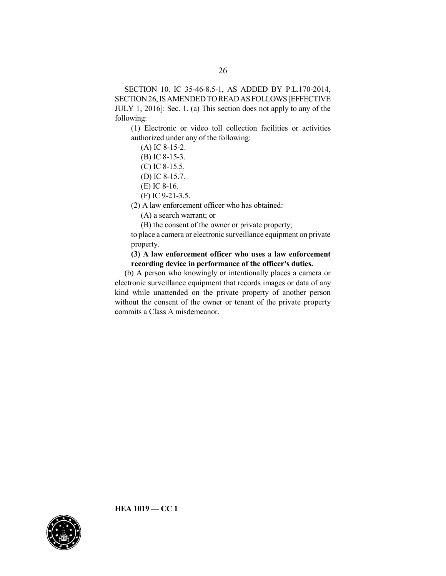SECTION 10. IC 35-46-8.5-1, AS ADDED BY P.L.170-2014, SECTION26,ISAMENDEDTOREADASFOLLOWS[EFFECTIVE JULY 1, 2016]: Sec. 1. (a) This section does not apply to any of the following:

(1) Electronic or video toll collection facilities or activities authorized under any of the following:

(A) IC 8-15-2.

(B) IC 8-15-3.

(C) IC 8-15.5.

(D) IC 8-15.7.

- (E) IC 8-16.
- (F) IC 9-21-3.5.

(2) A law enforcement officer who has obtained:

(A) a search warrant; or

(B) the consent of the owner or private property;

to place a camera or electronic surveillance equipment on private property.

**(3) A law enforcement officer who uses a law enforcement recording device in performance of the officer's duties.**

(b) A person who knowingly or intentionally places a camera or electronic surveillance equipment that records images or data of any kind while unattended on the private property of another person without the consent of the owner or tenant of the private property commits a Class A misdemeanor.